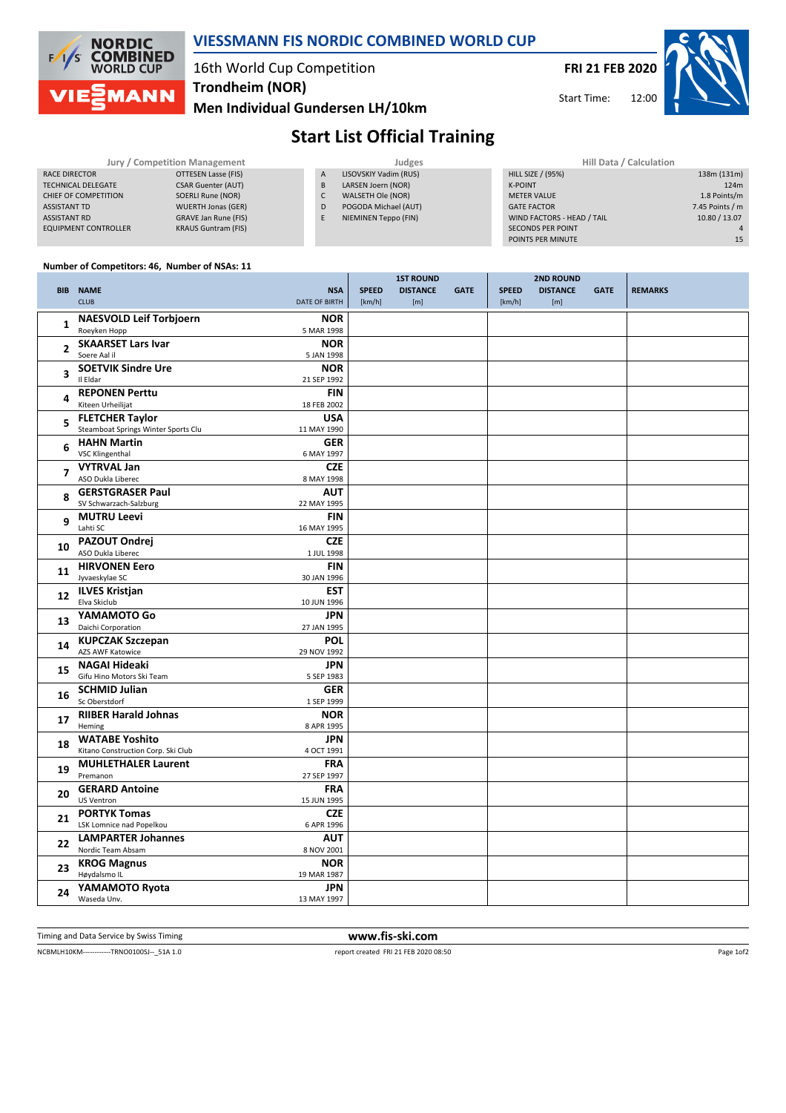

### **VIESSMANN FIS NORDIC COMBINED WORLD CUP**

## 16th World Cup Competition **Trondheim (NOR)**

Men Individual Gundersen LH/10km





# **Start List Official Training**

| Jury / Competition Management |                            |              | Judges                | Hill Data / Calculation    |                 |  |
|-------------------------------|----------------------------|--------------|-----------------------|----------------------------|-----------------|--|
| RACE DIRECTOR                 | OTTESEN Lasse (FIS)        | $\mathsf{A}$ | LISOVSKIY Vadim (RUS) | <b>HILL SIZE / (95%)</b>   | 138m (131m      |  |
| <b>TECHNICAL DELEGATE</b>     | <b>CSAR Guenter (AUT)</b>  | B            | LARSEN Joern (NOR)    | <b>K-POINT</b>             | 124r            |  |
| CHIEF OF COMPETITION          | SOERLI Rune (NOR)          |              | WALSETH Ole (NOR)     | <b>METER VALUE</b>         | 1.8 Points/r    |  |
| <b>ASSISTANT TD</b>           | <b>WUERTH Jonas (GER)</b>  | D            | POGODA Michael (AUT)  | <b>GATE FACTOR</b>         | 7.45 Points / r |  |
| <b>ASSISTANT RD</b>           | GRAVE Jan Rune (FIS)       |              | NIEMINEN Teppo (FIN)  | WIND FACTORS - HEAD / TAIL | 10.80 / 13.07   |  |
| <b>EQUIPMENT CONTROLLER</b>   | <b>KRAUS Guntram (FIS)</b> |              |                       | <b>SECONDS PER POINT</b>   |                 |  |
|                               |                            |              |                       | DOINTS DER MINILITE        |                 |  |

#### Number of Competitors: 46, Number of NSAs: 11

|                | <b>BIB NAME</b><br><b>CLUB</b>                                | <b>NSA</b><br>DATE OF BIRTH | <b>SPEED</b><br>[km/h] | <b>1ST ROUND</b><br><b>DISTANCE</b><br>[m] | <b>GATE</b> | <b>SPEED</b><br>[km/h] | <b>2ND ROUND</b><br><b>DISTANCE</b><br>[m] | <b>GATE</b> | <b>REMARKS</b> |
|----------------|---------------------------------------------------------------|-----------------------------|------------------------|--------------------------------------------|-------------|------------------------|--------------------------------------------|-------------|----------------|
| 1              | <b>NAESVOLD Leif Torbjoern</b><br>Roeyken Hopp                | <b>NOR</b><br>5 MAR 1998    |                        |                                            |             |                        |                                            |             |                |
| 2              | <b>SKAARSET Lars Ivar</b><br>Soere Aal il                     | <b>NOR</b><br>5 JAN 1998    |                        |                                            |             |                        |                                            |             |                |
| 3              | <b>SOETVIK Sindre Ure</b><br>Il Eldar                         | <b>NOR</b><br>21 SEP 1992   |                        |                                            |             |                        |                                            |             |                |
| 4              | <b>REPONEN Perttu</b><br>Kiteen Urheilijat                    | <b>FIN</b><br>18 FEB 2002   |                        |                                            |             |                        |                                            |             |                |
| 5              | <b>FLETCHER Taylor</b><br>Steamboat Springs Winter Sports Clu | <b>USA</b><br>11 MAY 1990   |                        |                                            |             |                        |                                            |             |                |
| 6              | <b>HAHN Martin</b><br><b>VSC Klingenthal</b>                  | <b>GER</b><br>6 MAY 1997    |                        |                                            |             |                        |                                            |             |                |
| $\overline{ }$ | <b>VYTRVAL Jan</b><br>ASO Dukla Liberec                       | <b>CZE</b><br>8 MAY 1998    |                        |                                            |             |                        |                                            |             |                |
| 8              | <b>GERSTGRASER Paul</b><br>SV Schwarzach-Salzburg             | <b>AUT</b><br>22 MAY 1995   |                        |                                            |             |                        |                                            |             |                |
| 9              | <b>MUTRU Leevi</b><br>Lahti SC                                | FIN<br>16 MAY 1995          |                        |                                            |             |                        |                                            |             |                |
| 10             | PAZOUT Ondrej<br>ASO Dukla Liberec                            | <b>CZE</b><br>1 JUL 1998    |                        |                                            |             |                        |                                            |             |                |
| 11             | <b>HIRVONEN Eero</b><br>Jyvaeskylae SC                        | <b>FIN</b><br>30 JAN 1996   |                        |                                            |             |                        |                                            |             |                |
| 12             | <b>ILVES Kristjan</b><br>Elva Skiclub                         | <b>EST</b><br>10 JUN 1996   |                        |                                            |             |                        |                                            |             |                |
| 13             | YAMAMOTO Go<br>Daichi Corporation                             | <b>JPN</b><br>27 JAN 1995   |                        |                                            |             |                        |                                            |             |                |
| 14             | <b>KUPCZAK Szczepan</b><br>AZS AWF Katowice                   | <b>POL</b><br>29 NOV 1992   |                        |                                            |             |                        |                                            |             |                |
| 15             | <b>NAGAI Hideaki</b><br>Gifu Hino Motors Ski Team             | JPN<br>5 SEP 1983           |                        |                                            |             |                        |                                            |             |                |
| 16             | <b>SCHMID Julian</b><br>Sc Oberstdorf                         | <b>GER</b><br>1 SEP 1999    |                        |                                            |             |                        |                                            |             |                |
| 17             | <b>RIIBER Harald Johnas</b><br>Heming                         | <b>NOR</b><br>8 APR 1995    |                        |                                            |             |                        |                                            |             |                |
| 18             | <b>WATABE Yoshito</b><br>Kitano Construction Corp. Ski Club   | JPN<br>4 OCT 1991           |                        |                                            |             |                        |                                            |             |                |
| 19             | <b>MUHLETHALER Laurent</b><br>Premanon                        | <b>FRA</b><br>27 SEP 1997   |                        |                                            |             |                        |                                            |             |                |
| 20             | <b>GERARD Antoine</b><br>US Ventron                           | <b>FRA</b><br>15 JUN 1995   |                        |                                            |             |                        |                                            |             |                |
| 21             | <b>PORTYK Tomas</b><br>LSK Lomnice nad Popelkou               | <b>CZE</b><br>6 APR 1996    |                        |                                            |             |                        |                                            |             |                |
| 22             | <b>LAMPARTER Johannes</b><br>Nordic Team Absam                | <b>AUT</b><br>8 NOV 2001    |                        |                                            |             |                        |                                            |             |                |
| 23             | <b>KROG Magnus</b><br>Høydalsmo IL                            | <b>NOR</b><br>19 MAR 1987   |                        |                                            |             |                        |                                            |             |                |
| 24             | YAMAMOTO Ryota<br>Waseda Unv.                                 | <b>JPN</b><br>13 MAY 1997   |                        |                                            |             |                        |                                            |             |                |

Timing and Data Service by Swiss Timing

www.fis-ski.com report created FRI 21 FEB 2020 08:50

NCBMLH10KM------------TRNO0100SJ--\_51A 1.0